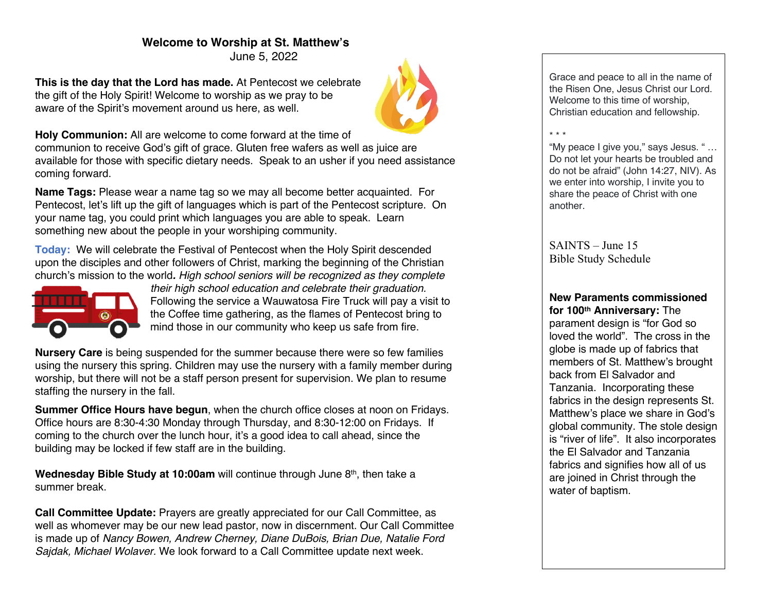# **Welcome to Worship at St. Matthew's**

June 5, 2022

**This is the day that the Lord has made.** At Pentecost we celebrate the gift of the Holy Spirit! Welcome to worship as we pray to be aware of the Spirit's movement around us here, as well.



**Holy Communion:** All are welcome to come forward at the time of communion to receive God's gift of grace. Gluten free wafers as well as juice are available for those with specific dietary needs. Speak to an usher if you need assistance coming forward.

**Name Tags:** Please wear a name tag so we may all become better acquainted. For Pentecost, let's lift up the gift of languages which is part of the Pentecost scripture. On your name tag, you could print which languages you are able to speak. Learn something new about the people in your worshiping community.

**Today:** We will celebrate the Festival of Pentecost when the Holy Spirit descended upon the disciples and other followers of Christ, marking the beginning of the Christian church's mission to the world*. High school seniors will be recognized as they complete* 



*their high school education and celebrate their graduation.* Following the service a Wauwatosa Fire Truck will pay a visit to the Coffee time gathering, as the flames of Pentecost bring to mind those in our community who keep us safe from fire.

**Nursery Care** is being suspended for the summer because there were so few families using the nursery this spring. Children may use the nursery with a family member during worship, but there will not be a staff person present for supervision. We plan to resume staffing the nursery in the fall.

**Summer Office Hours have begun**, when the church office closes at noon on Fridays. Office hours are 8:30-4:30 Monday through Thursday, and 8:30-12:00 on Fridays. If coming to the church over the lunch hour, it's a good idea to call ahead, since the building may be locked if few staff are in the building.

**Wednesday Bible Study at 10:00am** will continue through June 8<sup>th</sup>, then take a summer break.

**Call Committee Update:** Prayers are greatly appreciated for our Call Committee, as well as whomever may be our new lead pastor, now in discernment. Our Call Committee is made up of *Nancy Bowen, Andrew Cherney, Diane DuBois, Brian Due, Natalie Ford Sajdak, Michael Wolaver.* We look forward to a Call Committee update next week.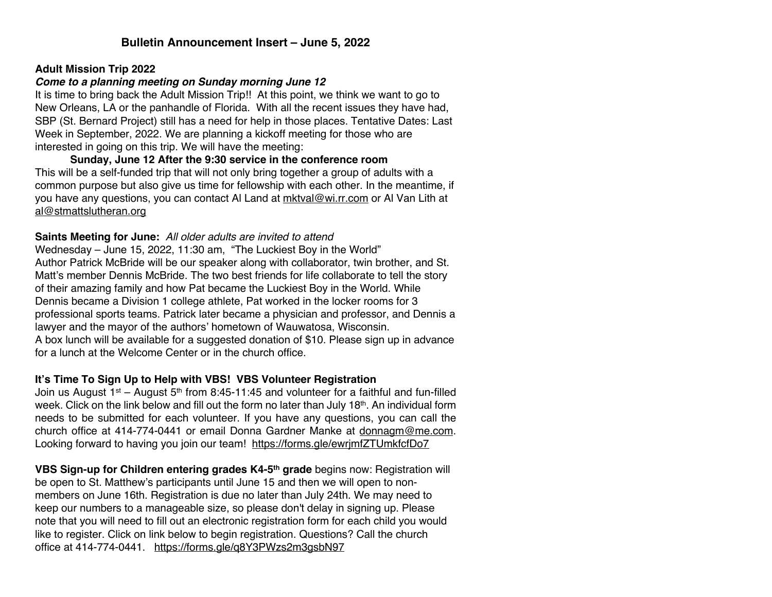# **Bulletin Announcement Insert – June 5, 2022**

#### **Adult Mission Trip 2022**

# *Come to a planning meeting on Sunday morning June 12*

It is time to bring back the Adult Mission Trip!! At this point, we think we want to go to New Orleans, LA or the panhandle of Florida. With all the recent issues they have had, SBP (St. Bernard Project) still has a need for help in those places. Tentative Dates: Last Week in September, 2022. We are planning a kickoff meeting for those who are interested in going on this trip. We will have the meeting:

**Sunday, June 12 After the 9:30 service in the conference room** This will be a self-funded trip that will not only bring together a group of adults with a common purpose but also give us time for fellowship with each other. In the meantime, if you have any questions, you can contact Al Land at mktval@wi.rr.com or Al Van Lith at al@stmattslutheran.org

#### **Saints Meeting for June:** *All older adults are invited to attend*

Wednesday – June 15, 2022, 11:30 am, "The Luckiest Boy in the World" Author Patrick McBride will be our speaker along with collaborator, twin brother, and St. Matt's member Dennis McBride. The two best friends for life collaborate to tell the story of their amazing family and how Pat became the Luckiest Boy in the World. While Dennis became a Division 1 college athlete, Pat worked in the locker rooms for 3 professional sports teams. Patrick later became a physician and professor, and Dennis a lawyer and the mayor of the authors' hometown of Wauwatosa, Wisconsin. A box lunch will be available for a suggested donation of \$10. Please sign up in advance for a lunch at the Welcome Center or in the church office.

# **It's Time To Sign Up to Help with VBS! VBS Volunteer Registration**

Join us August 1st – August 5<sup>th</sup> from 8:45-11:45 and volunteer for a faithful and fun-filled week. Click on the link below and fill out the form no later than July 18th. An individual form needs to be submitted for each volunteer. If you have any questions, you can call the church office at 414-774-0441 or email Donna Gardner Manke at donnagm@me.com. Looking forward to having you join our team! https://forms.gle/ewrjmfZTUmkfcfDo7

**VBS Sign-up for Children entering grades K4-5th grade** begins now: Registration will be open to St. Matthew's participants until June 15 and then we will open to nonmembers on June 16th. Registration is due no later than July 24th. We may need to keep our numbers to a manageable size, so please don't delay in signing up. Please note that you will need to fill out an electronic registration form for each child you would like to register. Click on link below to begin registration. Questions? Call the church office at 414-774-0441. https://forms.gle/q8Y3PWzs2m3gsbN97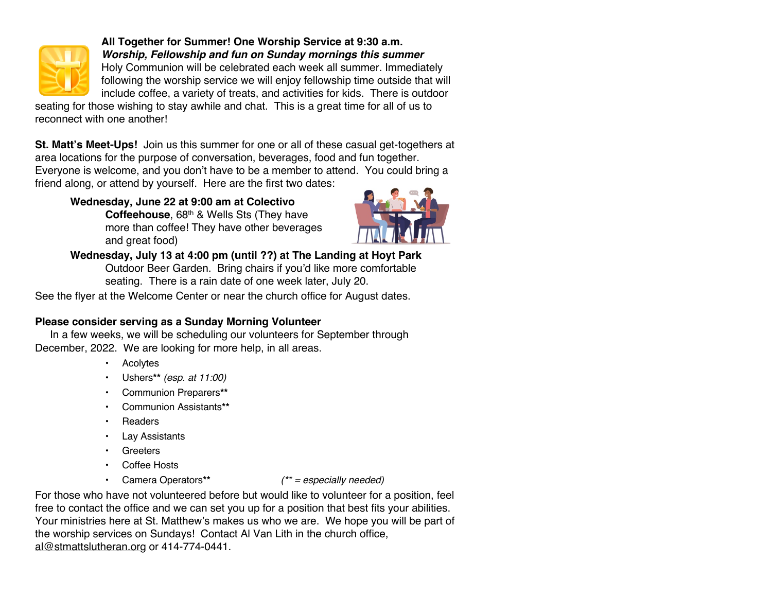

**All Together for Summer! One Worship Service at 9:30 a.m.** *Worship, Fellowship and fun on Sunday mornings this summer* Holy Communion will be celebrated each week all summer. Immediately following the worship service we will enjoy fellowship time outside that will

include coffee, a variety of treats, and activities for kids. There is outdoor seating for those wishing to stay awhile and chat. This is a great time for all of us to reconnect with one another!

**St. Matt's Meet-Ups!** Join us this summer for one or all of these casual get-togethers at area locations for the purpose of conversation, beverages, food and fun together. Everyone is welcome, and you don't have to be a member to attend. You could bring a

friend along, or attend by yourself. Here are the first two dates:

**Wednesday, June 22 at 9:00 am at Colectivo**  Coffeehouse, 68<sup>th</sup> & Wells Sts (They have more than coffee! They have other beverages and great food)



**Wednesday, July 13 at 4:00 pm (until ??) at The Landing at Hoyt Park**  Outdoor Beer Garden. Bring chairs if you'd like more comfortable seating. There is a rain date of one week later, July 20.

See the flyer at the Welcome Center or near the church office for August dates.

# **Please consider serving as a Sunday Morning Volunteer**

 In a few weeks, we will be scheduling our volunteers for September through December, 2022. We are looking for more help, in all areas.

- Acolytes
- Ushers**\*\*** *(esp. at 11:00)*
- Communion Preparers**\*\***
- Communion Assistants**\*\***
- **Readers**
- Lay Assistants
- Greeters
- Coffee Hosts
- Camera Operators**\*\*** *(\*\* = especially needed)*

For those who have not volunteered before but would like to volunteer for a position, feel free to contact the office and we can set you up for a position that best fits your abilities. Your ministries here at St. Matthew's makes us who we are. We hope you will be part of the worship services on Sundays! Contact Al Van Lith in the church office, al@stmattslutheran.org or 414-774-0441.